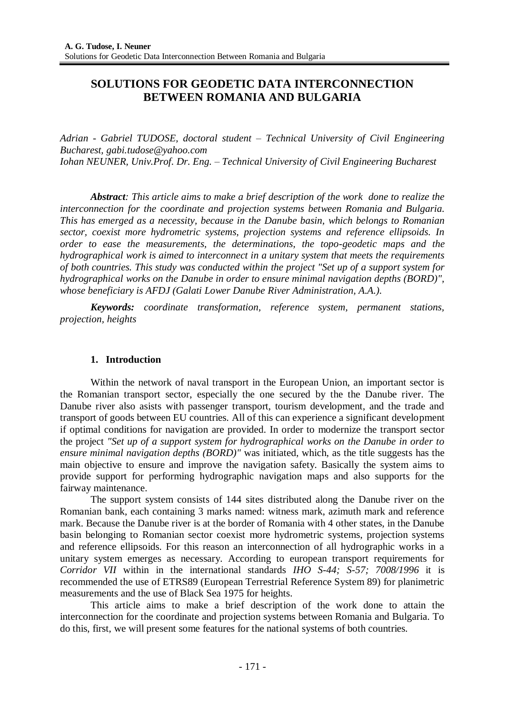# **SOLUTIONS FOR GEODETIC DATA INTERCONNECTION BETWEEN ROMANIA AND BULGARIA**

*Adrian - Gabriel TUDOSE, doctoral student – Technical University of Civil Engineering Bucharest, gabi.tudose@yahoo.com Iohan NEUNER, Univ.Prof. Dr. Eng. – Technical University of Civil Engineering Bucharest*

*Abstract: This article aims to make a brief description of the work done to realize the interconnection for the coordinate and projection systems between Romania and Bulgaria. This has emerged as a necessity, because in the Danube basin, which belongs to Romanian sector, coexist more hydrometric systems, projection systems and reference ellipsoids. In order to ease the measurements, the determinations, the topo-geodetic maps and the hydrographical work is aimed to interconnect in a unitary system that meets the requirements of both countries. This study was conducted within the project "Set up of a support system for hydrographical works on the Danube in order to ensure minimal navigation depths (BORD)", whose beneficiary is AFDJ (Galati Lower Danube River Administration, A.A.).*

*Keywords: coordinate transformation, reference system, permanent stations, projection, heights*

### **1. Introduction**

Within the network of naval transport in the European Union, an important sector is the Romanian transport sector, especially the one secured by the the Danube river. The Danube river also asists with passenger transport, tourism development, and the trade and transport of goods between EU countries. All of this can experience a significant development if optimal conditions for navigation are provided. In order to modernize the transport sector the project *"Set up of a support system for hydrographical works on the Danube in order to ensure minimal navigation depths (BORD)"* was initiated, which, as the title suggests has the main objective to ensure and improve the navigation safety. Basically the system aims to provide support for performing hydrographic navigation maps and also supports for the fairway maintenance.

The support system consists of 144 sites distributed along the Danube river on the Romanian bank, each containing 3 marks named: witness mark, azimuth mark and reference mark. Because the Danube river is at the border of Romania with 4 other states, in the Danube basin belonging to Romanian sector coexist more hydrometric systems, projection systems and reference ellipsoids. For this reason an interconnection of all hydrographic works in a unitary system emerges as necessary. According to european transport requirements for *Corridor VII* within in the international standards *IHO S-44; S-57; 7008/1996* it is recommended the use of ETRS89 (European Terrestrial Reference System 89) for planimetric measurements and the use of Black Sea 1975 for heights.

This article aims to make a brief description of the work done to attain the interconnection for the coordinate and projection systems between Romania and Bulgaria. To do this, first, we will present some features for the national systems of both countries.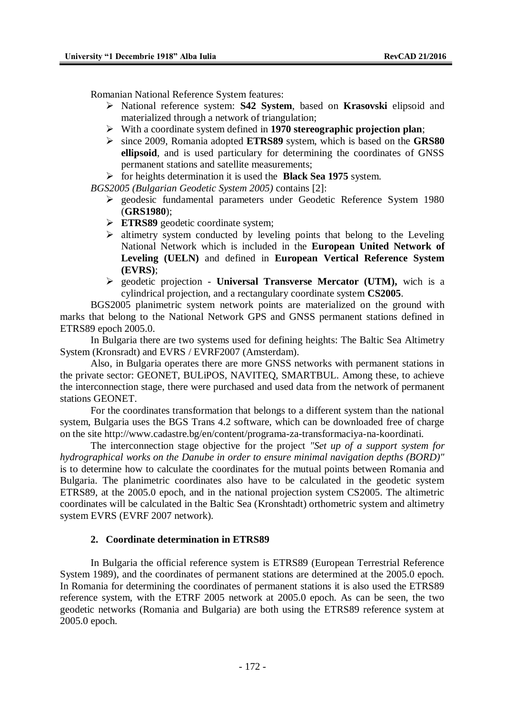Romanian National Reference System features:

- National reference system: **S42 System**, based on **Krasovski** elipsoid and materialized through a network of triangulation;
- With a coordinate system defined in **1970 stereographic projection plan**;
- since 2009, Romania adopted **ETRS89** system, which is based on the **GRS80 ellipsoid**, and is used particulary for determining the coordinates of GNSS permanent stations and satellite measurements;

for heights determination it is used the **Black Sea 1975** system.

*BGS2005 (Bulgarian Geodetic System 2005)* contains [2]:

- $\ge$  geodesic fundamental parameters under Geodetic Reference System 1980 (**GRS1980**);
- **ETRS89** geodetic coordinate system;
- $\triangleright$  altimetry system conducted by leveling points that belong to the Leveling National Network which is included in the **European United Network of Leveling (UELN)** and defined in **European Vertical Reference System (EVRS)**;
- geodetic projection **Universal Transverse Mercator (UTM),** wich is a cylindrical projection, and a rectangulary coordinate system **CS2005**.

BGS2005 planimetric system network points are materialized on the ground with marks that belong to the National Network GPS and GNSS permanent stations defined in ETRS89 epoch 2005.0.

In Bulgaria there are two systems used for defining heights: The Baltic Sea Altimetry System (Kronsradt) and EVRS / EVRF2007 (Amsterdam).

Also, in Bulgaria operates there are more GNSS networks with permanent stations in the private sector: GEONET, BULiPOS, NAVITEQ, SMARTBUL. Among these, to achieve the interconnection stage, there were purchased and used data from the network of permanent stations GEONET.

For the coordinates transformation that belongs to a different system than the national system, Bulgaria uses the BGS Trans 4.2 software, which can be downloaded free of charge on the site [http://www.cadastre.bg/en/content/programa-za-transformaciya-na-koordinati.](http://www.cadastre.bg/en/content/programa-za-transformaciya-na-koordinati)

The interconnection stage objective for the project *"Set up of a support system for hydrographical works on the Danube in order to ensure minimal navigation depths (BORD)"* is to determine how to calculate the coordinates for the mutual points between Romania and Bulgaria. The planimetric coordinates also have to be calculated in the geodetic system ETRS89, at the 2005.0 epoch, and in the national projection system CS2005. The altimetric coordinates will be calculated in the Baltic Sea (Kronshtadt) orthometric system and altimetry system EVRS (EVRF 2007 network).

#### **2. Coordinate determination in ETRS89**

In Bulgaria the official reference system is ETRS89 (European Terrestrial Reference System 1989), and the coordinates of permanent stations are determined at the 2005.0 epoch. In Romania for determining the coordinates of permanent stations it is also used the ETRS89 reference system, with the ETRF 2005 network at 2005.0 epoch. As can be seen, the two geodetic networks (Romania and Bulgaria) are both using the ETRS89 reference system at 2005.0 epoch.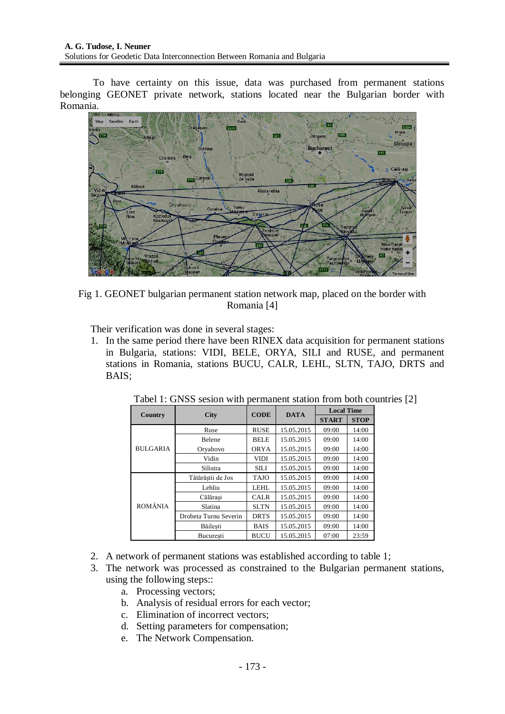To have certainty on this issue, data was purchased from permanent stations belonging GEONET private network, stations located near the Bulgarian border with Romania.



Fig 1. GEONET bulgarian permanent station network map, placed on the border with Romania [4]

Their verification was done in several stages:

1. In the same period there have been RINEX data acquisition for permanent stations in Bulgaria, stations: VIDI, BELE, ORYA, SILI and RUSE, and permanent stations in Romania, stations BUCU, CALR, LEHL, SLTN, TAJO, DRTS and BAIS;

| <b>Country</b>  | <b>City</b>           | <b>CODE</b> | <b>DATA</b> | <b>Local Time</b> |             |  |
|-----------------|-----------------------|-------------|-------------|-------------------|-------------|--|
|                 |                       |             |             | <b>START</b>      | <b>STOP</b> |  |
|                 | Ruse                  | <b>RUSE</b> | 15.05.2015  | 09:00             | 14:00       |  |
|                 | Belene                | <b>BELE</b> | 15.05.2015  | 09:00             | 14:00       |  |
| <b>BULGARIA</b> | Oryahovo              | <b>ORYA</b> | 15.05.2015  | 09:00             | 14:00       |  |
|                 | Vidin                 | VIDI        | 15.05.2015  | 09:00             | 14:00       |  |
|                 | Silistra              | <b>SILI</b> | 15.05.2015  | 09:00             | 14:00       |  |
|                 | Tătărăstii de Jos     | <b>TAJO</b> | 15.05.2015  | 09:00             | 14:00       |  |
|                 | Lehliu                | <b>LEHL</b> | 15.05.2015  | 09:00             | 14:00       |  |
|                 | Călărasi              | <b>CALR</b> | 15.05.2015  | 09:00             | 14:00       |  |
| <b>ROMÂNIA</b>  | Slatina               | <b>SLTN</b> | 15.05.2015  | 09:00             | 14:00       |  |
|                 | Drobeta Turnu Severin | <b>DRTS</b> | 15.05.2015  | 09:00             | 14:00       |  |
|                 | Băilesti              | <b>BAIS</b> | 15.05.2015  | 09:00             | 14:00       |  |
|                 | Bucuresti             | <b>BUCU</b> | 15.05.2015  | 07:00             | 23:59       |  |

Tabel 1: GNSS sesion with permanent station from both countries [2]

- 2. A network of permanent stations was established according to table 1;
- 3. The network was processed as constrained to the Bulgarian permanent stations, using the following steps::
	- a. Processing vectors;
	- b. Analysis of residual errors for each vector;
	- c. Elimination of incorrect vectors;
	- d. Setting parameters for compensation;
	- e. The Network Compensation.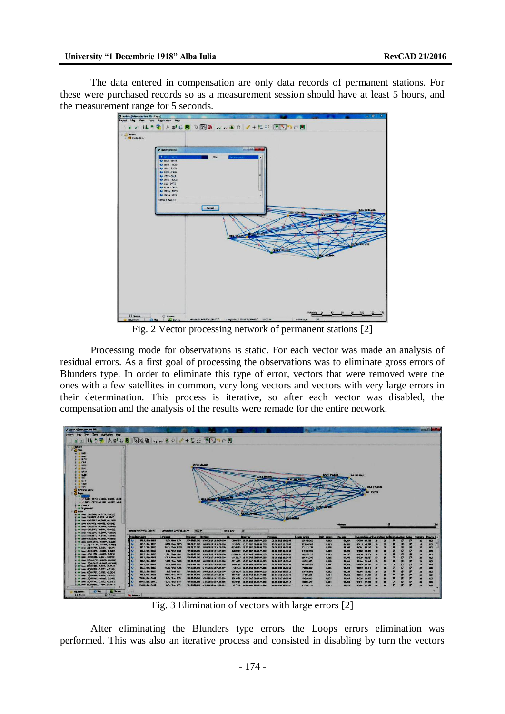The data entered in compensation are only data records of permanent stations. For these were purchased records so as a measurement session should have at least 5 hours, and the measurement range for 5 seconds.



Fig. 2 Vector processing network of permanent stations [2]

Processing mode for observations is static. For each vector was made an analysis of residual errors. As a first goal of processing the observations was to eliminate gross errors of Blunders type. In order to eliminate this type of error, vectors that were removed were the ones with a few satellites in common, very long vectors and vectors with very large errors in their determination. This process is iterative, so after each vector was disabled, the compensation and the analysis of the results were remade for the entire network.



Fig. 3 Elimination of vectors with large errors [2]

After eliminating the Blunders type errors the Loops errors elimination was performed. This was also an iterative process and consisted in disabling by turn the vectors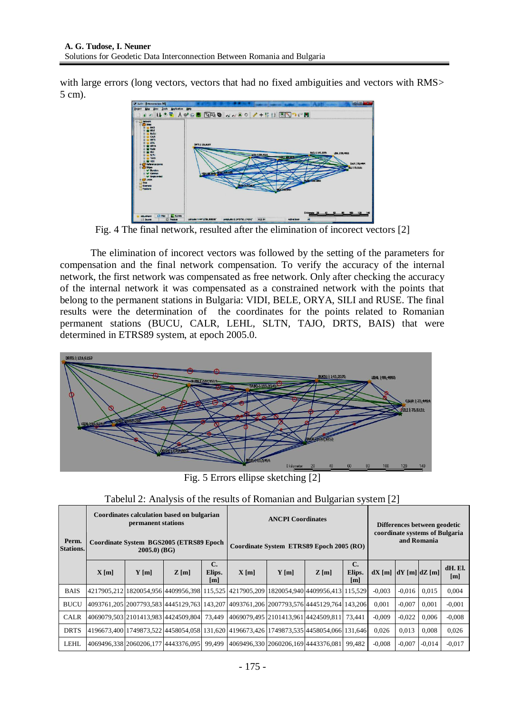with large errors (long vectors, vectors that had no fixed ambiguities and vectors with RMS> 5 cm).



Fig. 4 The final network, resulted after the elimination of incorect vectors [2]

The elimination of incorect vectors was followed by the setting of the parameters for compensation and the final network compensation. To verify the accuracy of the internal network, the first network was compensated as free network. Only after checking the accuracy of the internal network it was compensated as a constrained network with the points that belong to the permanent stations in Bulgaria: VIDI, BELE, ORYA, SILI and RUSE. The final results were the determination of the coordinates for the points related to Romanian permanent stations (BUCU, CALR, LEHL, SLTN, TAJO, DRTS, BAIS) that were determined in ETRS89 system, at epoch 2005.0.



Fig. 5 Errors ellipse sketching [2]

|                           | Coordinates calculation based on bulgarian<br>permanent stations |                                                           |                                            |                                 | <b>ANCPI Coordinates</b>                                                                |         |                                     |                                 | Differences between geodetic                  |                   |          |                |
|---------------------------|------------------------------------------------------------------|-----------------------------------------------------------|--------------------------------------------|---------------------------------|-----------------------------------------------------------------------------------------|---------|-------------------------------------|---------------------------------|-----------------------------------------------|-------------------|----------|----------------|
| Perm.<br><b>Stations.</b> |                                                                  | Coordinate System BGS2005 (ETRS89 Epoch<br>$2005.0)$ (BG) |                                            |                                 | Coordinate System ETRS89 Epoch 2005 (RO)                                                |         |                                     |                                 | coordinate systems of Bulgaria<br>and Romania |                   |          |                |
|                           | X[m]                                                             | $Y$ [m]                                                   | Z[m]                                       | $\mathbf{C}$ .<br>Elips.<br>[m] | X[m]                                                                                    | $Y$ [m] | Z[m]                                | $\mathbf{C}$ .<br>Elips.<br>[m] | $dX$ [m]                                      | $dY$ [m] $dZ$ [m] |          | dH. El.<br>[m] |
| <b>BAIS</b>               |                                                                  |                                                           |                                            |                                 | 4217905,212 1820054,956 4409956,398 115,525 4217905,209 1820054,940 4409956,413 115,529 |         |                                     |                                 | $-0,003$                                      | $-0.016$          | 0.015    | 0,004          |
| <b>BUCU</b>               |                                                                  |                                                           |                                            |                                 | 4093761,205 2007793,583 4445129,763 143,207 4093761,206 2007793,576 4445129,764 143,206 |         |                                     |                                 | 0.001                                         | $-0.007$          | 0.001    | $-0.001$       |
| <b>CALR</b>               |                                                                  |                                                           | 4069079,503 2101413,983 4424509,804 73,449 |                                 | 4069079,495 2101413,961 4424509,811 73,441                                              |         |                                     |                                 | $-0.009$                                      | $-0.022$          | 0.006    | $-0.008$       |
| <b>DRTS</b>               |                                                                  |                                                           |                                            |                                 | 4196673,400 1749873,522 4458054,058 131,620 4196673,426 1749873,535 4458054,066 131,646 |         |                                     |                                 | 0.026                                         | 0.013             | 0.008    | 0,026          |
| <b>LEHL</b>               |                                                                  |                                                           | 4069496.33812060206.17714443376.095        | 99.499                          |                                                                                         |         | 4069496.330 2060206.169 4443376.081 | 99.482                          | $-0.008$                                      | $-0.007$          | $-0.014$ | $-0.017$       |

Tabelul 2: Analysis of the results of Romanian and Bulgarian system [2]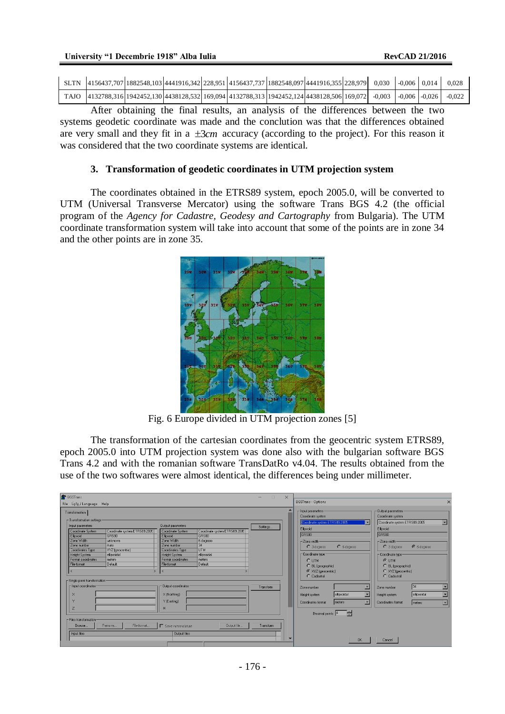| SLTN 4156437,707 1882548,103 4441916,342 228,951 4156437,737 1882548,097 4441916,355 228,979 0.030 0.006 0.014           |  |  |  |  |  | 0.028 |
|--------------------------------------------------------------------------------------------------------------------------|--|--|--|--|--|-------|
| TAJO 4132788,316 1942452,130 4438128,532 169,094 4132788,313 1942452,124 4438128,506 169,072 -0,003 -0,006 -0,026 -0,022 |  |  |  |  |  |       |

After obtaining the final results, an analysis of the differences between the two systems geodetic coordinate was made and the conclution was that the differences obtained are very small and they fit in a  $\pm 3cm$  accuracy (according to the project). For this reason it was considered that the two coordinate systems are identical.

#### **3. Transformation of geodetic coordinates in UTM projection system**

The coordinates obtained in the ETRS89 system, epoch 2005.0, will be converted to UTM (Universal Transverse Mercator) using the software Trans BGS 4.2 (the official program of the *Agency for Cadastre, Geodesy and Cartography* from Bulgaria). The UTM coordinate transformation system will take into account that some of the points are in zone 34 and the other points are in zone 35.



Fig. 6 Europe divided in UTM projection zones [5]

The transformation of the cartesian coordinates from the geocentric system ETRS89, epoch 2005.0 into UTM projection system was done also with the bulgarian software BGS Trans 4.2 and with the romanian software TransDatRo v4.04. The results obtained from the use of the two softwares were almost identical, the differences being under millimeter.

| <b>BGSTrans</b>                                                                                                                                                                                                                                                                                                                         |                                                                                                                                                                   |                                                                                                             | $\Box$<br>$\times$<br>$\overline{\phantom{a}}$ |                                                                                                                                                   |                                                |                                                                                                                                                                                                    |                                     |
|-----------------------------------------------------------------------------------------------------------------------------------------------------------------------------------------------------------------------------------------------------------------------------------------------------------------------------------------|-------------------------------------------------------------------------------------------------------------------------------------------------------------------|-------------------------------------------------------------------------------------------------------------|------------------------------------------------|---------------------------------------------------------------------------------------------------------------------------------------------------|------------------------------------------------|----------------------------------------------------------------------------------------------------------------------------------------------------------------------------------------------------|-------------------------------------|
| File Lçče/Language Help                                                                                                                                                                                                                                                                                                                 |                                                                                                                                                                   |                                                                                                             |                                                | <b>BGSTrans - Options</b>                                                                                                                         |                                                |                                                                                                                                                                                                    | $\times$                            |
| Transformation<br>$-$ Transformation settings:<br>Input parameters<br>Coordinate system ETRS89.2005<br>Coordinate System<br>GRS80<br>Ellipsoid<br>Zone Width<br>unknown<br>Auto<br>Zone number<br>XYZ (geocentric)<br>Coordinates Type<br><b>Height System</b><br>ellipsoidal<br>Format coordinates<br>meters<br>Default<br>File format | Output parameters<br>Coordinate System<br>Ellipsoid<br>Zone Width<br>Zone number<br>Coordinates Type<br><b>Height System</b><br>Format coordinates<br>File format | Coordinate system ETRS89.2005<br>GRS80<br>6 degrees<br>34<br><b>UTM</b><br>ellipsoidal<br>meters<br>Default | Settings                                       | - Input parameters-<br>Coordinate system<br>Ellipsoid<br>GRS80<br>-Zone width<br>$C$ 3 degrees<br>- Coordinate type<br>C UTM<br>C BL (geographic) | Coordinate system ETRS89.2005<br>$C$ 6 degrees | <b>Output parameters</b><br>Coordinate system<br>Coordinate system ETRS89.2005<br>E<br>Ellipsoid<br>GRS80<br>-Zone width<br>$C$ 3 degrees<br>Coordinate type-<br><b>G</b> UTM<br>C BL (geographic) | $\blacksquare$<br>G 6 degrees       |
| -Single point transformation<br>- Input coordinates<br>$\times$                                                                                                                                                                                                                                                                         | Output coordinates-<br>X (Northing)                                                                                                                               |                                                                                                             | Transform                                      | C XYZ (geocentric)<br>C Cadastral<br>Zone number<br>Height system                                                                                 | elipsoidal                                     | C XYZ (geocentric)<br>C Cadastral<br>Zone number<br>츠<br>Height system                                                                                                                             | 34<br>ellipsoidal<br>$\overline{ }$ |
| $\overline{z}$                                                                                                                                                                                                                                                                                                                          | Y (Easting)<br>H                                                                                                                                                  |                                                                                                             |                                                | Coordinates format                                                                                                                                | meters<br>H<br>Decimal points 4                | $\overline{\phantom{a}}$<br>Coordinates format                                                                                                                                                     | meters<br>$\overline{\phantom{a}}$  |
| - Files transformation:<br>File format.<br>Remove<br>Browse<br>Input files                                                                                                                                                                                                                                                              | Save nomenclature<br><b>Output files</b>                                                                                                                          | Output file                                                                                                 | Transform                                      |                                                                                                                                                   | <b>OK</b>                                      | Cancel                                                                                                                                                                                             |                                     |
|                                                                                                                                                                                                                                                                                                                                         |                                                                                                                                                                   |                                                                                                             |                                                |                                                                                                                                                   |                                                |                                                                                                                                                                                                    |                                     |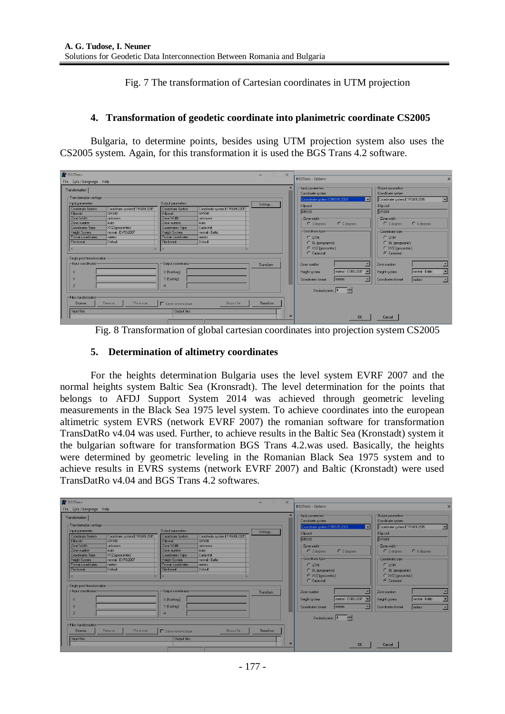Fig. 7 The transformation of Cartesian coordinates in UTM projection

#### **4. Transformation of geodetic coordinate into planimetric coordinate CS2005**

Bulgaria, to determine points, besides using UTM projection system also uses the CS2005 system. Again, for this transformation it is used the BGS Trans 4.2 software.

| <b>BGSTrans</b><br>File Lçče/Language Help                                                                                                                                                                                                                                                                                                                                                                |                                                                                                                                                                                                                                                                                                                 | $\times$<br>$\Box$<br>$\overline{\phantom{0}}$    | <b>BGSTrans - Options</b>                                                                                                                                                                                                                                          |                                                                                                                                                                                                                                                                                  |
|-----------------------------------------------------------------------------------------------------------------------------------------------------------------------------------------------------------------------------------------------------------------------------------------------------------------------------------------------------------------------------------------------------------|-----------------------------------------------------------------------------------------------------------------------------------------------------------------------------------------------------------------------------------------------------------------------------------------------------------------|---------------------------------------------------|--------------------------------------------------------------------------------------------------------------------------------------------------------------------------------------------------------------------------------------------------------------------|----------------------------------------------------------------------------------------------------------------------------------------------------------------------------------------------------------------------------------------------------------------------------------|
| Transformation<br>$\Gamma$ Transformation settings<br>Input parameters<br>Coordinate system ETRS89.2005<br>Coordinate System<br>GRS80<br>Ellipsoid<br>Zone Width<br>unknown<br>Zone number<br>Auto<br>Coordinates Type<br>XYZ (geocentric)<br>normal - EVRS2007<br><b>Height System</b><br>Format coordinates<br>meters<br>File format<br>Default<br>- Single point transformation<br>- Input coordinates | Output parameters<br>Coordinate system ETRS89.2005<br>Coordinate System<br><b>GBS80</b><br>Elipsoid<br>Zone Width<br>unknown<br>Auto<br>Zone number<br>Cadastral<br>Coordinates Type<br><b>Height System</b><br>normal - Baltic<br>Format coordinates<br>meters<br>Default<br>File format<br>Output coordinates | $\overline{\phantom{a}}$<br>Settings<br>Transform | $\Gamma$ Input parameters<br>Coordinate system<br>Coordinate system ETRS89.2005<br>Ellipsoid<br>GRS80<br>-Zone width<br>$C$ 6 degrees<br>$C$ 3 degrees<br>- Coordinate type<br>$C$ LITM<br>C BL (geographic)<br>C XYZ (geocentric)<br>$C$ Cadastral<br>Zone number | Output parameters<br>Coordinate system<br>Coordinate system ETRS89.2005<br>$\overline{\phantom{a}}$<br>Ellipsoid<br>GRS80<br>-Zone width<br>$C$ 6 degrees<br>C 3 degrees<br>- Coordinate type-<br>C UTM<br>C BL (geographic)<br>C XYZ (geocentric)<br>C Cadastral<br>Zone number |
| $\times$<br>$\overline{z}$<br>- Files transformation<br>File format<br>Remove<br>Browse<br>Input files                                                                                                                                                                                                                                                                                                    | X (Northing)<br>Y (Easting)<br>H<br>Output file<br>$\Gamma$ Save nomenclature<br><b>Output files</b>                                                                                                                                                                                                            | Transform                                         | normal - EVRS2007<br>Height system<br>ᅬ<br><b>I</b> meters<br>Coordinates format<br>Decimal points $\boxed{4}$<br><b>OK</b>                                                                                                                                        | normal - Baltic<br>츠<br>Height system<br>Coordinates format<br>meters<br>$\blacksquare$<br>Cancel                                                                                                                                                                                |

Fig. 8 Transformation of global cartesian coordinates into projection system CS2005

#### **5. Determination of altimetry coordinates**

For the heights determination Bulgaria uses the level system EVRF 2007 and the normal heights system Baltic Sea (Kronsradt). The level determination for the points that belongs to AFDJ Support System 2014 was achieved through geometric leveling measurements in the Black Sea 1975 level system. To achieve coordinates into the european altimetric system EVRS (network EVRF 2007) the romanian software for transformation TransDatRo v4.04 was used. Further, to achieve results in the Baltic Sea (Kronstadt) system it the bulgarian software for transformation BGS Trans 4.2.was used. Basically, the heights were determined by geometric leveling in the Romanian Black Sea 1975 system and to achieve results in EVRS systems (network EVRF 2007) and Baltic (Kronstadt) were used TransDatRo v4.04 and BGS Trans 4.2 softwares.

| <b>BGSTrans</b>                                                                                                                                                                                                                                                                                                                                                              |                                                                                                                                                                                                                                                                                           | $\Box$<br>$\times$<br>$\overline{\phantom{0}}$ |                                                                                                                                                                                                                                                 |                                                                                                                                                                                                                                                       |
|------------------------------------------------------------------------------------------------------------------------------------------------------------------------------------------------------------------------------------------------------------------------------------------------------------------------------------------------------------------------------|-------------------------------------------------------------------------------------------------------------------------------------------------------------------------------------------------------------------------------------------------------------------------------------------|------------------------------------------------|-------------------------------------------------------------------------------------------------------------------------------------------------------------------------------------------------------------------------------------------------|-------------------------------------------------------------------------------------------------------------------------------------------------------------------------------------------------------------------------------------------------------|
| File Lçče / Language Help                                                                                                                                                                                                                                                                                                                                                    |                                                                                                                                                                                                                                                                                           |                                                | <b>BGSTrans - Options</b>                                                                                                                                                                                                                       |                                                                                                                                                                                                                                                       |
| Transformation<br>$\Gamma$ Transformation settings<br>Input parameters<br>Coordinate system ETRS89.2005<br>Coordinate System<br>GRS80<br>Elipsoid<br>Zone Width<br>unknown<br>Auto<br>Zone number<br>Coordinates Type<br>XYZ (geocentric)<br><b>Height System</b><br>normal - EVRS2007<br>Format coordinates<br>meters<br>File format<br>Default<br>$\overline{\phantom{a}}$ | <b>Output parameters</b><br>Coordinate System<br>Coordinate system ETRS89.2005<br>GRS80<br>Elipsoid<br>Zone Width<br>unknown<br>Auto<br>Zone number<br>Cadastral<br>Coordinates Type<br><b>Height System</b><br>normal - Baltic<br>Format coordinates<br>meters<br>Default<br>File format | $\triangle$<br>Settings                        | - Input parameters<br>Coordinate system<br>Coordinate system ETRS89.2005<br>▬<br>Ellipsoid<br>GRS80<br>-Zone width<br>$C$ 6 degrees<br>$C$ 3 degrees<br>- Coordinate type<br>$C$ LITM<br>C BL (geographic)<br>C XYZ (geocentric)<br>C Cadastral | Output parameters<br>Coordinate system<br>Coordinate system ETRS89.2005<br>▼<br>Ellipsoid<br>GRS80<br>-Zone width<br>$C$ 6 degrees<br>$C$ 3 degrees<br>- Coordinate type<br>$C$ LITM<br>C BL (geographic)<br>C XYZ (geocentric)<br><b>C</b> Cadastral |
| Single point transformation<br>- Input coordinates<br>$\times$<br>$\overline{z}$<br>- Files transformation<br>File format.<br>Browse<br>Remove                                                                                                                                                                                                                               | Output coordinates<br>$\times$ (Northing)<br>Y (Easting)<br>H<br>Output file<br>Save nomenclature                                                                                                                                                                                         | Transform<br>Transform                         | Zone number<br>normal - EVRS2007 -<br>Height system<br>meters<br>Coordinates format<br>Decimal points $\boxed{4}$                                                                                                                               | Zone number<br>normal - Baltic<br>Height system<br>Coordinates format<br>meters<br>$\blacktriangledown$                                                                                                                                               |
| Input files                                                                                                                                                                                                                                                                                                                                                                  | <b>Output files</b>                                                                                                                                                                                                                                                                       |                                                | <b>OK</b>                                                                                                                                                                                                                                       | Cancel                                                                                                                                                                                                                                                |